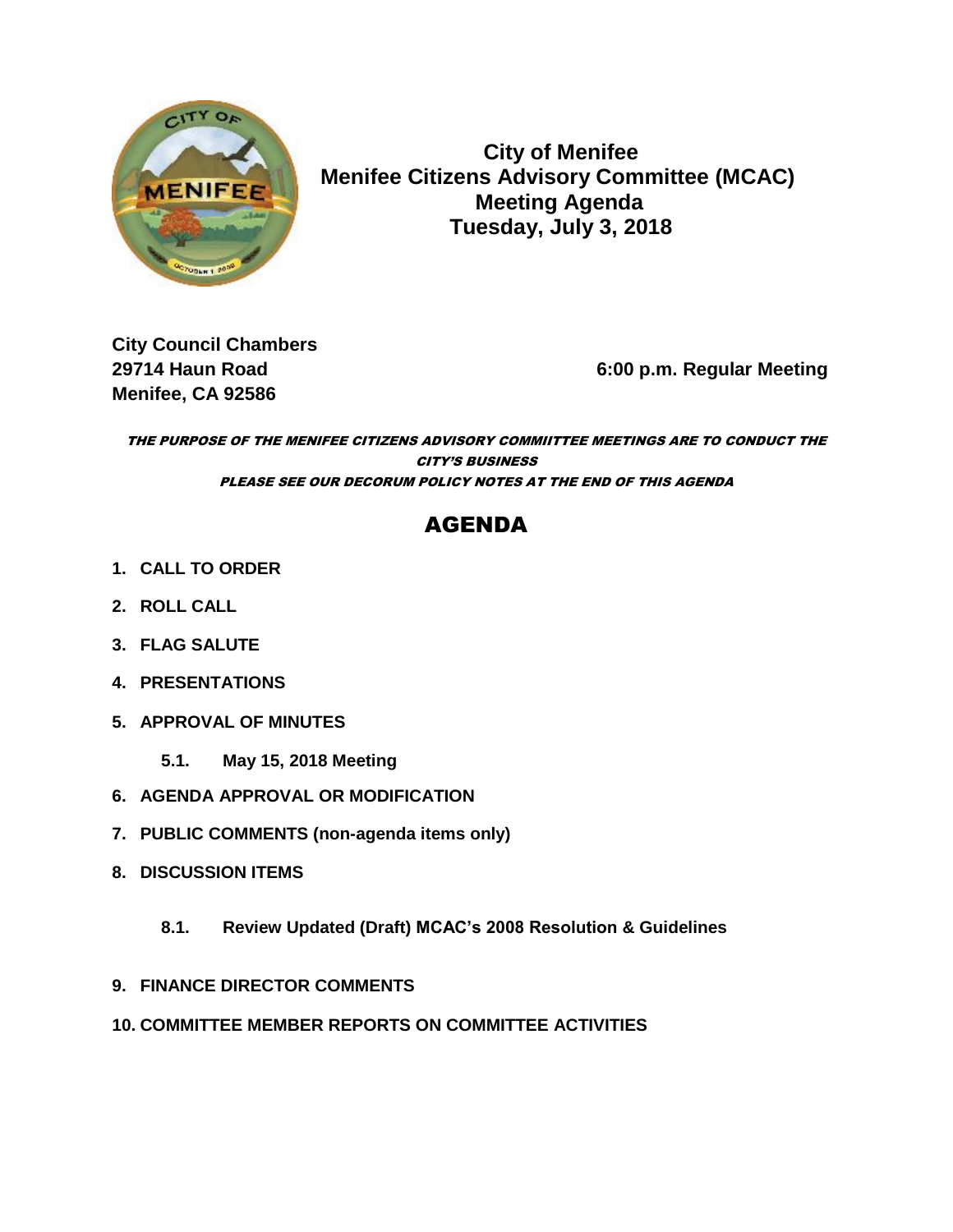

 **City of Menifee MENIFEE Menifee Citizens Advisory Committee (MCAC) Meeting Agenda Tuesday, July 3, 2018**

**City Council Chambers Menifee, CA 92586** 

**29714 Haun Road 6:00 p.m. Regular Meeting**

THE PURPOSE OF THE MENIFEE CITIZENS ADVISORY COMMIITTEE MEETINGS ARE TO CONDUCT THE CITY'S BUSINESS PLEASE SEE OUR DECORUM POLICY NOTES AT THE END OF THIS AGENDA

# AGENDA

- **1. CALL TO ORDER**
- **2. ROLL CALL**
- **3. FLAG SALUTE**
- **4. PRESENTATIONS**
- **5. APPROVAL OF MINUTES**
	- **5.1. May 15, 2018 Meeting**
- **6. AGENDA APPROVAL OR MODIFICATION**
- **7. PUBLIC COMMENTS (non-agenda items only)**
- **8. DISCUSSION ITEMS**
	- **8.1. Review Updated (Draft) MCAC's 2008 Resolution & Guidelines**
- **9. FINANCE DIRECTOR COMMENTS**
- **10. COMMITTEE MEMBER REPORTS ON COMMITTEE ACTIVITIES**